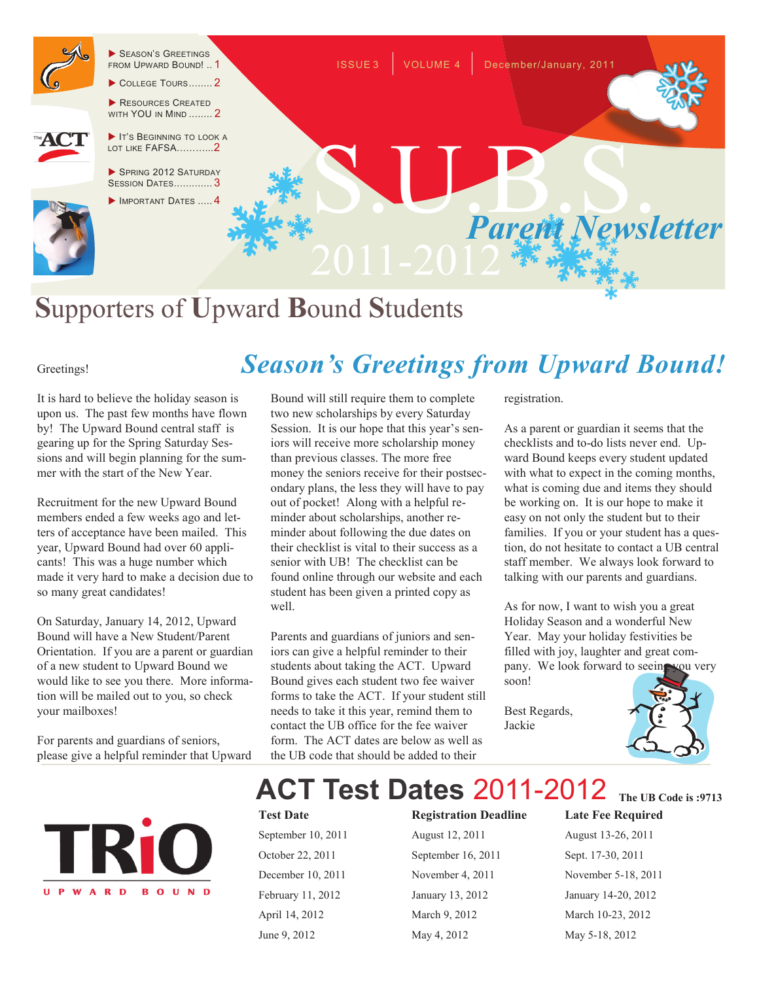

# **S**upporters of **U**pward **B**ound **S**tudents

#### Greetings!

It is hard to believe the holiday season is upon us. The past few months have flown by! The Upward Bound central staff is gearing up for the Spring Saturday Sessions and will begin planning for the summer with the start of the New Year.

Recruitment for the new Upward Bound members ended a few weeks ago and letters of acceptance have been mailed. This year, Upward Bound had over 60 applicants! This was a huge number which made it very hard to make a decision due to so many great candidates!

On Saturday, January 14, 2012, Upward Bound will have a New Student/Parent Orientation. If you are a parent or guardian of a new student to Upward Bound we would like to see you there. More information will be mailed out to you, so check your mailboxes!

For parents and guardians of seniors, please give a helpful reminder that Upward



Parents and guardians of juniors and seniors can give a helpful reminder to their students about taking the ACT. Upward Bound gives each student two fee waiver forms to take the ACT. If your student still needs to take it this year, remind them to contact the UB office for the fee waiver form. The ACT dates are below as well as the UB code that should be added to their

registration.

*Season's Greetings from Upward Bound!*

As a parent or guardian it seems that the checklists and to-do lists never end. Upward Bound keeps every student updated with what to expect in the coming months, what is coming due and items they should be working on. It is our hope to make it easy on not only the student but to their families. If you or your student has a question, do not hesitate to contact a UB central staff member. We always look forward to talking with our parents and guardians.

As for now, I want to wish you a great Holiday Season and a wonderful New Year. May your holiday festivities be filled with joy, laughter and great company. We look forward to seeing you very soon!

Best Regards, Jackie





### **ACT Test Dates** 2011-2012 **The UB Code is :9713**

well.

*SPECIAL POINT I***Reference 10, 2011**<br>*I***Reduce 11, 2012**<br>*Ianuary* 13, 2012 April 14, 2012 March 9, 2012 March 10-23, 2012

September 16, 2011 Sept. 17-30, 2011 June 9, 2012 May 4, 2012 May 5-18, 2012

**Test Date Registration Deadline Late Fee Required** August 13-26, 2011 November 5-18, 2011 January 14-20, 2012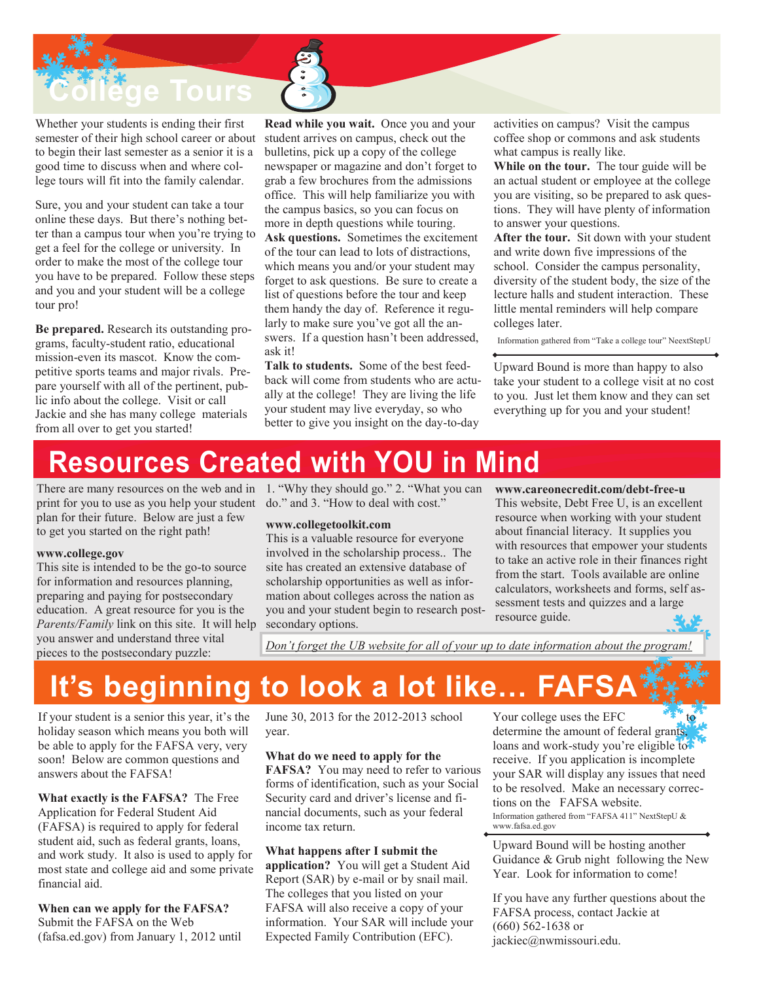**e** Tours

Whether your students is ending their first semester of their high school career or about to begin their last semester as a senior it is a good time to discuss when and where college tours will fit into the family calendar.

Sure, you and your student can take a tour online these days. But there's nothing better than a campus tour when you're trying to get a feel for the college or university. In order to make the most of the college tour you have to be prepared. Follow these steps and you and your student will be a college tour pro!

**Be prepared.** Research its outstanding programs, faculty-student ratio, educational mission-even its mascot. Know the competitive sports teams and major rivals. Prepare yourself with all of the pertinent, public info about the college. Visit or call Jackie and she has many college materials from all over to get you started!

**Read while you wait.** Once you and your student arrives on campus, check out the bulletins, pick up a copy of the college newspaper or magazine and don't forget to grab a few brochures from the admissions office. This will help familiarize you with the campus basics, so you can focus on more in depth questions while touring. **Ask questions.** Sometimes the excitement of the tour can lead to lots of distractions, which means you and/or your student may forget to ask questions. Be sure to create a list of questions before the tour and keep them handy the day of. Reference it regularly to make sure you've got all the answers. If a question hasn't been addressed, ask it!

**Talk to students.** Some of the best feedback will come from students who are actually at the college! They are living the life your student may live everyday, so who better to give you insight on the day-to-day

activities on campus? Visit the campus coffee shop or commons and ask students what campus is really like.

**While on the tour.** The tour guide will be an actual student or employee at the college you are visiting, so be prepared to ask questions. They will have plenty of information to answer your questions.

**After the tour.** Sit down with your student and write down five impressions of the school. Consider the campus personality, diversity of the student body, the size of the lecture halls and student interaction. These little mental reminders will help compare colleges later.

Information gathered from "Take a college tour" NeextStepU

Upward Bound is more than happy to also take your student to a college visit at no cost to you. Just let them know and they can set everything up for you and your student!

### **Resources Created with YOU in Mind**

print for you to use as you help your student do." and 3. "How to deal with cost." plan for their future. Below are just a few to get you started on the right path!

#### **www.college.gov**

This site is intended to be the go-to source for information and resources planning, preparing and paying for postsecondary education. A great resource for you is the *Parents/Family* link on this site. It will help you answer and understand three vital pieces to the postsecondary puzzle:

There are many resources on the web and in 1. "Why they should go." 2. "What you can

#### **www.collegetoolkit.com**

This is a valuable resource for everyone involved in the scholarship process.. The site has created an extensive database of scholarship opportunities as well as information about colleges across the nation as you and your student begin to research postsecondary options.

**www.careonecredit.com/debt-free-u** This website, Debt Free U, is an excellent resource when working with your student about financial literacy. It supplies you with resources that empower your students to take an active role in their finances right from the start. Tools available are online calculators, worksheets and forms, self assessment tests and quizzes and a large

*Don't forget the UB website for all of your up to date information about the program!*

resource guide.

## **It's beginning to look a lot like... FAFS**

If your student is a senior this year, it's the holiday season which means you both will be able to apply for the FAFSA very, very soon! Below are common questions and answers about the FAFSA!

**What exactly is the FAFSA?** The Free Application for Federal Student Aid (FAFSA) is required to apply for federal student aid, such as federal grants, loans, and work study. It also is used to apply for most state and college aid and some private financial aid.

**When can we apply for the FAFSA?**  Submit the FAFSA on the Web (fafsa.ed.gov) from January 1, 2012 until June 30, 2013 for the 2012-2013 school year.

#### **What do we need to apply for the**

**FAFSA?** You may need to refer to various forms of identification, such as your Social Security card and driver's license and financial documents, such as your federal income tax return.

#### **What happens after I submit the**

**application?** You will get a Student Aid Report (SAR) by e-mail or by snail mail. The colleges that you listed on your FAFSA will also receive a copy of your information. Your SAR will include your Expected Family Contribution (EFC).

Your college uses the EFC determine the amount of federal grants, loans and work-study you're eligible to receive. If you application is incomplete your SAR will display any issues that need to be resolved. Make an necessary corrections on the FAFSA website. Information gathered from "FAFSA 411" NextStepU & www.fafsa.ed.gov

Upward Bound will be hosting another Guidance & Grub night following the New Year. Look for information to come!

If you have any further questions about the FAFSA process, contact Jackie at (660) 562-1638 or jackiec@nwmissouri.edu.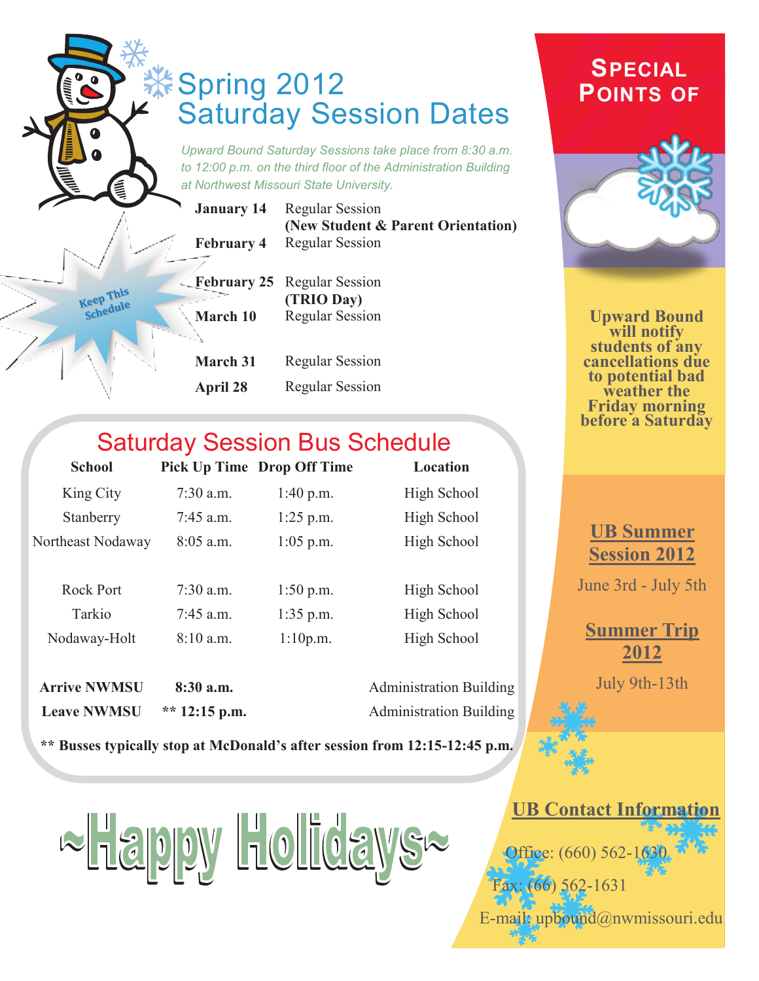|                              |                   | <b>Saturday Session Dates</b><br>Upward Bound Saturday Sessions take place from 8:30 a.m.<br>to 12:00 p.m. on the third floor of the Administration Building<br>at Northwest Missouri State University. | <b>SPECIAL</b><br><b>POINTS OF</b>                       |
|------------------------------|-------------------|---------------------------------------------------------------------------------------------------------------------------------------------------------------------------------------------------------|----------------------------------------------------------|
|                              | <b>January 14</b> | <b>Regular Session</b>                                                                                                                                                                                  |                                                          |
|                              | <b>February 4</b> | (New Student & Parent Orientation)<br><b>Regular Session</b>                                                                                                                                            |                                                          |
|                              | - February 25     | <b>Regular Session</b>                                                                                                                                                                                  |                                                          |
| <b>Keep This</b><br>Schedule |                   | (TRIO Day)                                                                                                                                                                                              |                                                          |
|                              | March 10          | <b>Regular Session</b>                                                                                                                                                                                  | <b>Upward Bound</b><br>will notify                       |
|                              |                   |                                                                                                                                                                                                         | students of any                                          |
|                              | March 31          | <b>Regular Session</b>                                                                                                                                                                                  | cancellations due                                        |
|                              | April 28          | <b>Regular Session</b>                                                                                                                                                                                  | to potential bad<br>weather the<br><b>Friday morning</b> |

### Saturday Session Bus Schedule

| <b>School</b>     |             | <b>Pick Up Time Drop Off Time</b> | Location    |
|-------------------|-------------|-----------------------------------|-------------|
| King City         | $7:30$ a.m. | 1:40 p.m.                         | High School |
| Stanberry         | $7:45$ a.m. | $1:25$ p.m.                       | High School |
| Northeast Nodaway | $8:05$ a.m. | $1:05$ p.m.                       | High School |
|                   |             |                                   |             |
| <b>Rock Port</b>  | $7:30$ a.m. | $1:50$ p.m.                       | High School |
| Tarkio            | $7:45$ a.m. | $1:35$ p.m.                       | High School |
| Nodaway-Holt      | $8:10$ a.m. | 1:10p.m.                          | High School |
|                   |             |                                   |             |

**Leave NWMSU** \*\* 12:15 p.m. Administration Building

**Arrive NWMSU** 8:30 a.m. Administration Building

**\*\* Busses typically stop at McDonald's after session from 12:15-12:45 p.m.** 

 $\approx$  Happy Holidays $\approx$ 

### **UB Summer Session 2012**

**before a Saturday** 

June 3rd - July 5th

### **Summer Trip 2012**

July 9th-13th